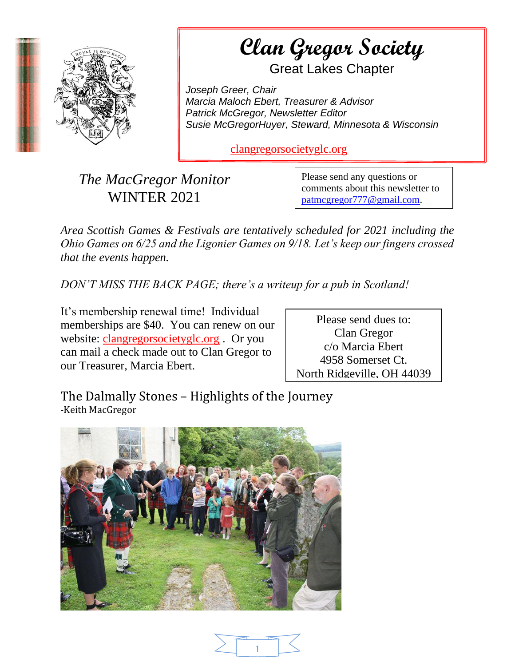

**Example a Gregor Society** AS A Section of the document. Use the Great Lakes Chapter

*Joseph Greer, Chair Marcia Maloch Ebert, Treasurer & Advisor Patrick McGregor, Newsletter Editor Susie McGregorHuyer, Steward, Minnesota & Wisconsin*

[clangregorsocietyglc.org](https://clangregorsocietyglc.org/)

*The MacGregor Monitor* WINTER 2021

Please send any questions or comments about this newsletter to [patmcgregor777@gmail.com.](mailto:patmcgregor777@gmail.com)

*Area Scottish Games & Festivals are tentatively scheduled for 2021 including the Ohio Games on 6/25 and the Ligonier Games on 9/18. Let's keep our fingers crossed that the events happen.*

*DON'T MISS THE BACK PAGE; there's a writeup for a pub in Scotland!*

It's membership renewal time! Individual memberships are \$40. You can renew on our website: [clangregorsocietyglc.org](https://clangregorsocietyglc.org/) . Or you can mail a check made out to Clan Gregor to our Treasurer, Marcia Ebert.

Please send dues to: Clan Gregor c/o Marcia Ebert 4958 Somerset Ct. North Ridgeville, OH 44039

The Dalmally Stones – Highlights of the Journey -Keith MacGregor



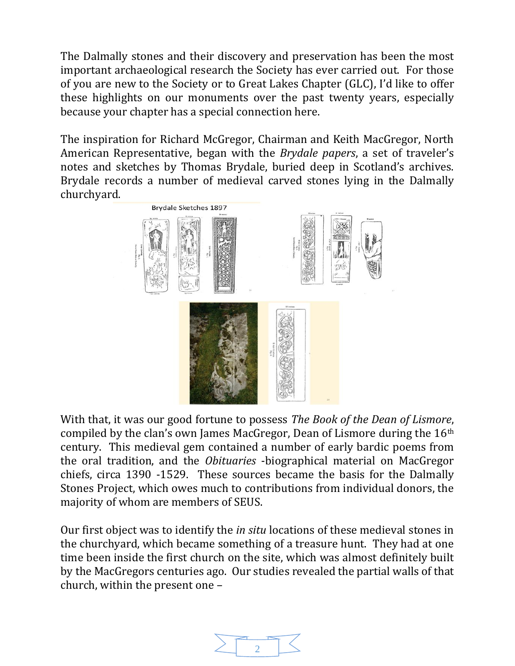The Dalmally stones and their discovery and preservation has been the most important archaeological research the Society has ever carried out. For those of you are new to the Society or to Great Lakes Chapter (GLC), I'd like to offer these highlights on our monuments over the past twenty years, especially because your chapter has a special connection here.

The inspiration for Richard McGregor, Chairman and Keith MacGregor, North American Representative, began with the *Brydale papers*, a set of traveler's notes and sketches by Thomas Brydale, buried deep in Scotland's archives. Brydale records a number of medieval carved stones lying in the Dalmally churchyard.



With that, it was our good fortune to possess *The Book of the Dean of Lismore*, compiled by the clan's own James MacGregor, Dean of Lismore during the 16th century. This medieval gem contained a number of early bardic poems from the oral tradition, and the *Obituaries* -biographical material on MacGregor chiefs, circa 1390 -1529. These sources became the basis for the Dalmally Stones Project, which owes much to contributions from individual donors, the majority of whom are members of SEUS.

Our first object was to identify the *in situ* locations of these medieval stones in the churchyard, which became something of a treasure hunt. They had at one time been inside the first church on the site, which was almost definitely built by the MacGregors centuries ago. Our studies revealed the partial walls of that church, within the present one –

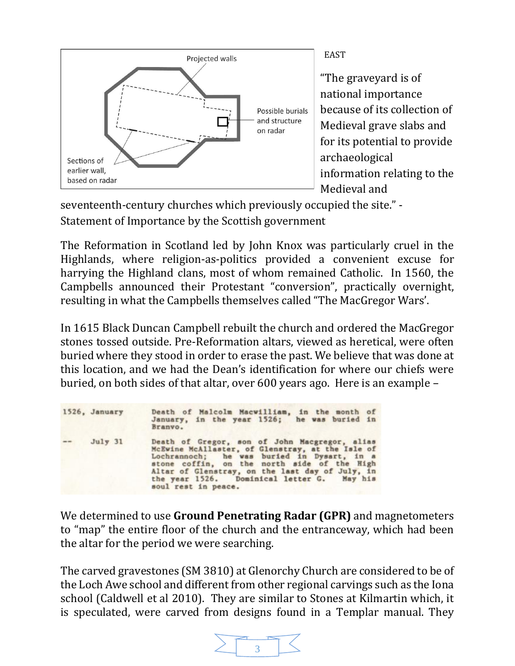

EAST

"The graveyard is of national importance because of its collection of Medieval grave slabs and for its potential to provide archaeological information relating to the Medieval and

seventeenth-century churches which previously occupied the site." - Statement of Importance by the Scottish government

The Reformation in Scotland led by John Knox was particularly cruel in the Highlands, where religion-as-politics provided a convenient excuse for harrying the Highland clans, most of whom remained Catholic. In 1560, the Campbells announced their Protestant "conversion", practically overnight, resulting in what the Campbells themselves called "The MacGregor Wars'.

In 1615 Black Duncan Campbell rebuilt the church and ordered the MacGregor stones tossed outside. Pre-Reformation altars, viewed as heretical, were often buried where they stood in order to erase the past. We believe that was done at this location, and we had the Dean's identification for where our chiefs were buried, on both sides of that altar, over 600 years ago. Here is an example –

|          | 1526, January | Death of Malcolm Macwilliam, in the month of<br>January, in the year 1526; he was buried in<br>Branvo.                                                                                                                                                                                                                 |
|----------|---------------|------------------------------------------------------------------------------------------------------------------------------------------------------------------------------------------------------------------------------------------------------------------------------------------------------------------------|
| $\cdots$ | July 31       | Death of Gregor, son of John Macgregor, alias<br>McEwine McAllaster, of Glenstray, at the Isle of<br>Lochrannoch; he was buried in Dysart, in a<br>stone coffin, on the north side of the High<br>Altar of Glenstray, on the last day of July, in<br>the year 1526. Dominical letter G. May his<br>soul rest in peace. |

We determined to use **Ground Penetrating Radar (GPR)** and magnetometers to "map" the entire floor of the church and the entranceway, which had been the altar for the period we were searching.

The carved gravestones (SM 3810) at Glenorchy Church are considered to be of the Loch Awe school and different from other regional carvings such as the Iona school (Caldwell et al 2010). They are similar to Stones at Kilmartin which, it is speculated, were carved from designs found in a Templar manual. They

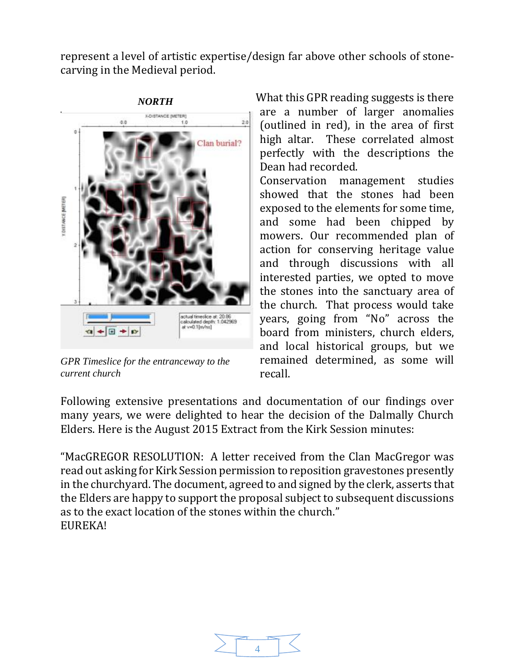represent a level of artistic expertise/design far above other schools of stonecarving in the Medieval period.



*GPR Timeslice for the entranceway to the current church*

What this GPR reading suggests is there are a number of larger anomalies (outlined in red), in the area of first high altar. These correlated almost perfectly with the descriptions the Dean had recorded. Conservation management studies

showed that the stones had been exposed to the elements for some time, and some had been chipped by mowers. Our recommended plan of action for conserving heritage value and through discussions with all interested parties, we opted to move the stones into the sanctuary area of the church. That process would take years, going from "No" across the board from ministers, church elders, and local historical groups, but we remained determined, as some will recall.

Following extensive presentations and documentation of our findings over many years, we were delighted to hear the decision of the Dalmally Church Elders. Here is the August 2015 Extract from the Kirk Session minutes:

"MacGREGOR RESOLUTION: A letter received from the Clan MacGregor was read out asking for Kirk Session permission to reposition gravestones presently in the churchyard. The document, agreed to and signed by the clerk, asserts that the Elders are happy to support the proposal subject to subsequent discussions as to the exact location of the stones within the church." EUREKA!

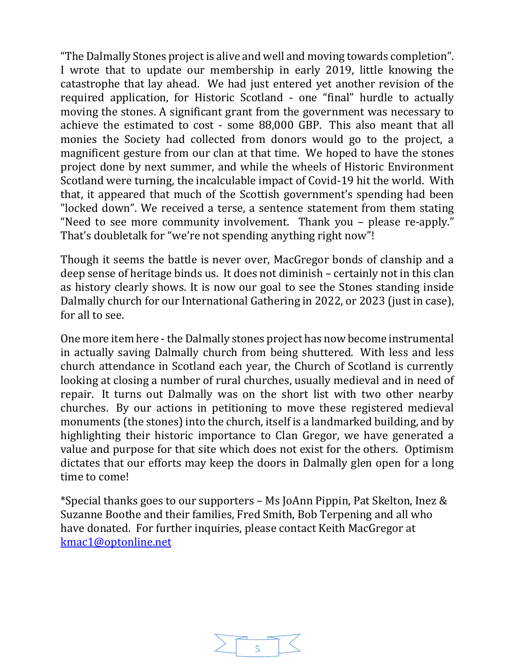"The Dalmally Stones project is alive and well and moving towards completion". I wrote that to update our membership in early 2019, little knowing the catastrophe that lay ahead. We had just entered yet another revision of the required application, for Historic Scotland - one "final" hurdle to actually moving the stones. A significant grant from the government was necessary to achieve the estimated to cost - some 88,000 GBP. This also meant that all monies the Society had collected from donors would go to the project, a magnificent gesture from our clan at that time. We hoped to have the stones project done by next summer, and while the wheels of Historic Environment Scotland were turning, the incalculable impact of Covid-19 hit the world. With that, it appeared that much of the Scottish government's spending had been "locked down". We received a terse, a sentence statement from them stating "Need to see more community involvement. Thank you – please re-apply." That's doubletalk for "we're not spending anything right now"!

Though it seems the battle is never over, MacGregor bonds of clanship and a deep sense of heritage binds us. It does not diminish – certainly not in this clan as history clearly shows. It is now our goal to see the Stones standing inside Dalmally church for our International Gathering in 2022, or 2023 (just in case), for all to see.

One more item here - the Dalmally stones project has now become instrumental in actually saving Dalmally church from being shuttered. With less and less church attendance in Scotland each year, the Church of Scotland is currently looking at closing a number of rural churches, usually medieval and in need of repair. It turns out Dalmally was on the short list with two other nearby churches. By our actions in petitioning to move these registered medieval monuments (the stones) into the church, itself is a landmarked building, and by highlighting their historic importance to Clan Gregor, we have generated a value and purpose for that site which does not exist for the others. Optimism dictates that our efforts may keep the doors in Dalmally glen open for a long time to come!

\*Special thanks goes to our supporters – Ms JoAnn Pippin, Pat Skelton, Inez & Suzanne Boothe and their families, Fred Smith, Bob Terpening and all who have donated. For further inquiries, please contact Keith MacGregor at [kmac1@optonline.net](mailto:kmac1@optonline.net)

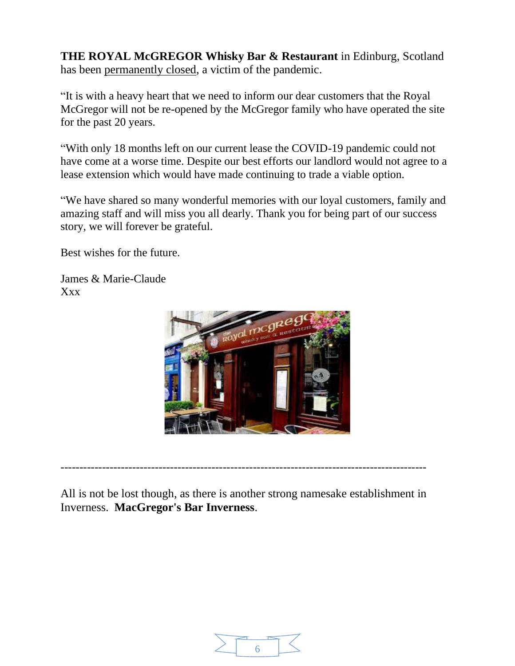**THE ROYAL McGREGOR Whisky Bar & Restaurant** in Edinburg, Scotland has been permanently closed, a victim of the pandemic.

"It is with a heavy heart that we need to inform our dear customers that the Royal McGregor will not be re-opened by the McGregor family who have operated the site for the past 20 years.

"With only 18 months left on our current lease the COVID-19 pandemic could not have come at a worse time. Despite our best efforts our landlord would not agree to a lease extension which would have made continuing to trade a viable option.

"We have shared so many wonderful memories with our loyal customers, family and amazing staff and will miss you all dearly. Thank you for being part of our success story, we will forever be grateful.

Best wishes for the future.

James & Marie-Claude Xxx



All is not be lost though, as there is another strong namesake establishment in Inverness. **MacGregor's Bar Inverness**.

-------------------------------------------------------------------------------------------------